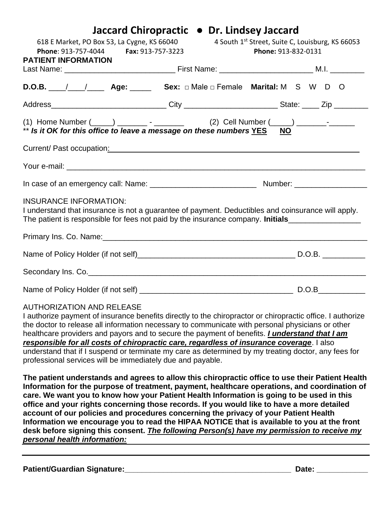|                                                                                                                                                                                                                        | Jaccard Chiropractic • Dr. Lindsey Jaccard                              |  |  |  |
|------------------------------------------------------------------------------------------------------------------------------------------------------------------------------------------------------------------------|-------------------------------------------------------------------------|--|--|--|
| 618 E Market, PO Box 53, La Cygne, KS 66040<br>Phone: 913-757-4044 Fax: 913-757-3223                                                                                                                                   | 4 South 1st Street, Suite C, Louisburg, KS 66053<br>Phone: 913-832-0131 |  |  |  |
| <b>PATIENT INFORMATION</b>                                                                                                                                                                                             |                                                                         |  |  |  |
|                                                                                                                                                                                                                        |                                                                         |  |  |  |
| <b>D.O.B.</b> $\angle$ / $\angle$ <b>Age:</b> ____ <b>Sex:</b> $\Box$ Male $\Box$ Female <b>Marital:</b> M S W D O                                                                                                     |                                                                         |  |  |  |
| Address_______________________________City _________________________State: _____ Zip ______________                                                                                                                    |                                                                         |  |  |  |
| ** Is it OK for this office to leave a message on these numbers YES NO                                                                                                                                                 |                                                                         |  |  |  |
|                                                                                                                                                                                                                        |                                                                         |  |  |  |
|                                                                                                                                                                                                                        |                                                                         |  |  |  |
|                                                                                                                                                                                                                        |                                                                         |  |  |  |
| <b>INSURANCE INFORMATION:</b><br>I understand that insurance is not a guarantee of payment. Deductibles and coinsurance will apply.<br>The patient is responsible for fees not paid by the insurance company. Initials |                                                                         |  |  |  |
|                                                                                                                                                                                                                        |                                                                         |  |  |  |
|                                                                                                                                                                                                                        |                                                                         |  |  |  |
|                                                                                                                                                                                                                        |                                                                         |  |  |  |
|                                                                                                                                                                                                                        |                                                                         |  |  |  |

### AUTHORIZATION AND RELEASE

I authorize payment of insurance benefits directly to the chiropractor or chiropractic office. I authorize the doctor to release all information necessary to communicate with personal physicians or other healthcare providers and payors and to secure the payment of benefits. *I understand that I am responsible for all costs of chiropractic care, regardless of insurance coverage*. I also understand that if I suspend or terminate my care as determined by my treating doctor, any fees for professional services will be immediately due and payable.

**The patient understands and agrees to allow this chiropractic office to use their Patient Health Information for the purpose of treatment, payment, healthcare operations, and coordination of care. We want you to know how your Patient Health Information is going to be used in this office and your rights concerning those records. If you would like to have a more detailed account of our policies and procedures concerning the privacy of your Patient Health Information we encourage you to read the HIPAA NOTICE that is available to you at the front desk before signing this consent.** *The following Person(s) have my permission to receive my personal health information:*

**Patient/Guardian Signature:** experiment that the state of the patient of the state of the state of the state of the state of the state of the state of the state of the state of the state of the state of the state of the s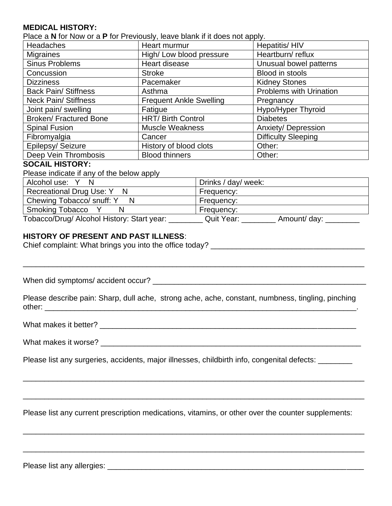## **MEDICAL HISTORY:**

Place a **N** for Now or a **P** for Previously, leave blank if it does not apply.

| <b>Headaches</b>             | Heart murmur                   | Hepatitis/HIV                  |
|------------------------------|--------------------------------|--------------------------------|
| <b>Migraines</b>             | High/Low blood pressure        | Heartburn/reflux               |
| <b>Sinus Problems</b>        | Heart disease                  | Unusual bowel patterns         |
| Concussion                   | <b>Stroke</b>                  | Blood in stools                |
| <b>Dizziness</b>             | Pacemaker                      | <b>Kidney Stones</b>           |
| <b>Back Pain/ Stiffness</b>  | Asthma                         | <b>Problems with Urination</b> |
| <b>Neck Pain/ Stiffness</b>  | <b>Frequent Ankle Swelling</b> | Pregnancy                      |
| Joint pain/ swelling         | Fatigue                        | Hypo/Hyper Thyroid             |
| <b>Broken/Fractured Bone</b> | <b>HRT/ Birth Control</b>      | <b>Diabetes</b>                |
| <b>Spinal Fusion</b>         | <b>Muscle Weakness</b>         | <b>Anxiety/ Depression</b>     |
| Fibromyalgia                 | Cancer                         | <b>Difficulty Sleeping</b>     |
| Epilepsy/ Seizure            | History of blood clots         | Other:                         |
| Deep Vein Thrombosis         | <b>Blood thinners</b>          | Other:                         |

#### **SOCAIL HISTORY:**

Please indicate if any of the below apply

| Alcohol use: Y N                           | <sup>1</sup> Drinks / day/ week: |
|--------------------------------------------|----------------------------------|
| Recreational Drug Use: Y N                 | Frequency:                       |
| Chewing Tobacco/ snuff: Y<br>N             | Frequency:                       |
| Smoking Tobacco Y                          | Frequency:                       |
| Tobacco/Drug/ Alcohol History: Start year: | Quit Year:<br>Amount/ day: _     |

# **HISTORY OF PRESENT AND PAST ILLNESS**:

Chief complaint: What brings you into the office today? \_\_\_\_\_\_\_\_\_\_\_\_\_\_\_\_\_\_\_\_\_\_\_\_\_

When did symptoms/ accident occur? \_\_\_\_\_\_\_\_\_\_\_\_\_\_\_\_\_\_\_\_\_\_\_\_\_\_\_\_\_\_\_\_\_\_\_\_\_\_\_\_\_\_\_\_\_\_\_\_\_\_

Please describe pain: Sharp, dull ache, strong ache, ache, constant, numbness, tingling, pinching other: \_\_\_\_\_\_\_\_\_\_\_\_\_\_\_\_\_\_\_\_\_\_\_\_\_\_\_\_\_\_\_\_\_\_\_\_\_\_\_\_\_\_\_\_\_\_\_\_\_\_\_\_\_\_\_\_\_\_\_\_\_\_\_\_\_\_\_\_\_\_\_\_\_.

\_\_\_\_\_\_\_\_\_\_\_\_\_\_\_\_\_\_\_\_\_\_\_\_\_\_\_\_\_\_\_\_\_\_\_\_\_\_\_\_\_\_\_\_\_\_\_\_\_\_\_\_\_\_\_\_\_\_\_\_\_\_\_\_\_\_\_\_\_\_\_\_\_\_\_\_\_\_\_\_

What makes it better? \_\_\_\_\_\_\_\_\_\_\_\_\_\_\_\_\_\_\_\_\_\_\_\_\_\_\_\_\_\_\_\_\_\_\_\_\_\_\_\_\_\_\_\_\_\_\_\_\_\_\_\_\_\_\_\_\_\_\_\_

What makes it worse?

Please list any surgeries, accidents, major illnesses, childbirth info, congenital defects:

Please list any current prescription medications, vitamins, or other over the counter supplements:

\_\_\_\_\_\_\_\_\_\_\_\_\_\_\_\_\_\_\_\_\_\_\_\_\_\_\_\_\_\_\_\_\_\_\_\_\_\_\_\_\_\_\_\_\_\_\_\_\_\_\_\_\_\_\_\_\_\_\_\_\_\_\_\_\_\_\_\_\_\_\_\_\_\_\_\_\_\_\_\_

\_\_\_\_\_\_\_\_\_\_\_\_\_\_\_\_\_\_\_\_\_\_\_\_\_\_\_\_\_\_\_\_\_\_\_\_\_\_\_\_\_\_\_\_\_\_\_\_\_\_\_\_\_\_\_\_\_\_\_\_\_\_\_\_\_\_\_\_\_\_\_\_\_\_\_\_\_\_\_\_

\_\_\_\_\_\_\_\_\_\_\_\_\_\_\_\_\_\_\_\_\_\_\_\_\_\_\_\_\_\_\_\_\_\_\_\_\_\_\_\_\_\_\_\_\_\_\_\_\_\_\_\_\_\_\_\_\_\_\_\_\_\_\_\_\_\_\_\_\_\_\_\_\_\_\_\_\_\_\_\_

\_\_\_\_\_\_\_\_\_\_\_\_\_\_\_\_\_\_\_\_\_\_\_\_\_\_\_\_\_\_\_\_\_\_\_\_\_\_\_\_\_\_\_\_\_\_\_\_\_\_\_\_\_\_\_\_\_\_\_\_\_\_\_\_\_\_\_\_\_\_\_\_\_\_\_\_\_\_\_\_

Please list any allergies: \_\_\_\_\_\_\_\_\_\_\_\_\_\_\_\_\_\_\_\_\_\_\_\_\_\_\_\_\_\_\_\_\_\_\_\_\_\_\_\_\_\_\_\_\_\_\_\_\_\_\_\_\_\_\_\_\_\_\_\_